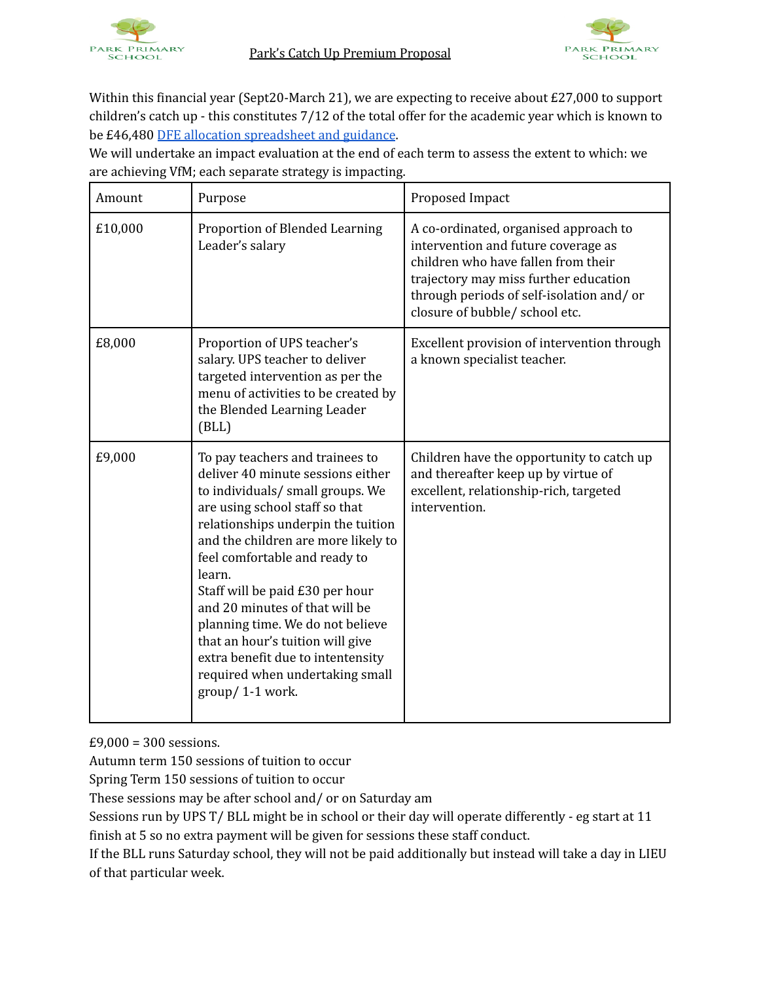



Within this financial year (Sept20-March 21), we are expecting to receive about £27,000 to support children's catch up - this constitutes 7/12 of the total offer for the academic year which is known to be £46,480 DFE allocation [spreadsheet](https://www.gov.uk/government/publications/coronavirus-covid-19-catch-up-premium-provisional-allocations?utm_source=25%20September%202020%20C19&utm_medium=Daily%20Email%20C19&utm_campaign=DfE%20C19) and guidance.

We will undertake an impact evaluation at the end of each term to assess the extent to which: we are achieving VfM; each separate strategy is impacting.

| Amount  | Purpose                                                                                                                                                                                                                                                                                                                                                                                                                                                                                                    | Proposed Impact                                                                                                                                                                                                                            |
|---------|------------------------------------------------------------------------------------------------------------------------------------------------------------------------------------------------------------------------------------------------------------------------------------------------------------------------------------------------------------------------------------------------------------------------------------------------------------------------------------------------------------|--------------------------------------------------------------------------------------------------------------------------------------------------------------------------------------------------------------------------------------------|
| £10,000 | Proportion of Blended Learning<br>Leader's salary                                                                                                                                                                                                                                                                                                                                                                                                                                                          | A co-ordinated, organised approach to<br>intervention and future coverage as<br>children who have fallen from their<br>trajectory may miss further education<br>through periods of self-isolation and/or<br>closure of bubble/ school etc. |
| £8,000  | Proportion of UPS teacher's<br>salary. UPS teacher to deliver<br>targeted intervention as per the<br>menu of activities to be created by<br>the Blended Learning Leader<br>(BLL)                                                                                                                                                                                                                                                                                                                           | Excellent provision of intervention through<br>a known specialist teacher.                                                                                                                                                                 |
| £9,000  | To pay teachers and trainees to<br>deliver 40 minute sessions either<br>to individuals/ small groups. We<br>are using school staff so that<br>relationships underpin the tuition<br>and the children are more likely to<br>feel comfortable and ready to<br>learn.<br>Staff will be paid £30 per hour<br>and 20 minutes of that will be<br>planning time. We do not believe<br>that an hour's tuition will give<br>extra benefit due to intentensity<br>required when undertaking small<br>group/1-1 work. | Children have the opportunity to catch up<br>and thereafter keep up by virtue of<br>excellent, relationship-rich, targeted<br>intervention.                                                                                                |

£9,000 = 300 sessions.

Autumn term 150 sessions of tuition to occur

Spring Term 150 sessions of tuition to occur

These sessions may be after school and/ or on Saturday am

Sessions run by UPS T/ BLL might be in school or their day will operate differently - eg start at 11 finish at 5 so no extra payment will be given for sessions these staff conduct.

If the BLL runs Saturday school, they will not be paid additionally but instead will take a day in LIEU of that particular week.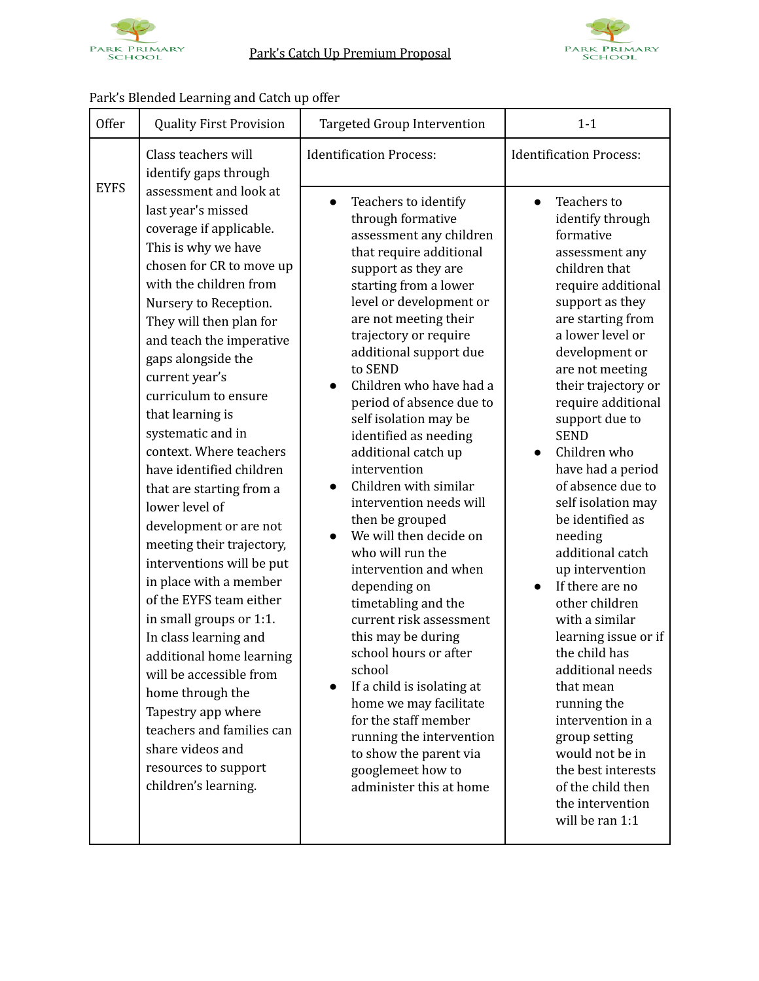



## Park's Blended Learning and Catch up offer

| <b>Offer</b> | <b>Quality First Provision</b>                                                                                                                                                                                                                                                                                                                                                                                                                                                                                                                                                                                                                                                                                                                                                                                                                    | <b>Targeted Group Intervention</b>                                                                                                                                                                                                                                                                                                                                                                                                                                                                                                                                                                                                                                                                                                                                                                                                                                                                                      | $1 - 1$                                                                                                                                                                                                                                                                                                                                                                                                                                                                                                                                                                                                                                                                                                                                                                      |
|--------------|---------------------------------------------------------------------------------------------------------------------------------------------------------------------------------------------------------------------------------------------------------------------------------------------------------------------------------------------------------------------------------------------------------------------------------------------------------------------------------------------------------------------------------------------------------------------------------------------------------------------------------------------------------------------------------------------------------------------------------------------------------------------------------------------------------------------------------------------------|-------------------------------------------------------------------------------------------------------------------------------------------------------------------------------------------------------------------------------------------------------------------------------------------------------------------------------------------------------------------------------------------------------------------------------------------------------------------------------------------------------------------------------------------------------------------------------------------------------------------------------------------------------------------------------------------------------------------------------------------------------------------------------------------------------------------------------------------------------------------------------------------------------------------------|------------------------------------------------------------------------------------------------------------------------------------------------------------------------------------------------------------------------------------------------------------------------------------------------------------------------------------------------------------------------------------------------------------------------------------------------------------------------------------------------------------------------------------------------------------------------------------------------------------------------------------------------------------------------------------------------------------------------------------------------------------------------------|
| <b>EYFS</b>  | Class teachers will<br>identify gaps through                                                                                                                                                                                                                                                                                                                                                                                                                                                                                                                                                                                                                                                                                                                                                                                                      | <b>Identification Process:</b>                                                                                                                                                                                                                                                                                                                                                                                                                                                                                                                                                                                                                                                                                                                                                                                                                                                                                          | <b>Identification Process:</b>                                                                                                                                                                                                                                                                                                                                                                                                                                                                                                                                                                                                                                                                                                                                               |
|              | assessment and look at<br>last year's missed<br>coverage if applicable.<br>This is why we have<br>chosen for CR to move up<br>with the children from<br>Nursery to Reception.<br>They will then plan for<br>and teach the imperative<br>gaps alongside the<br>current year's<br>curriculum to ensure<br>that learning is<br>systematic and in<br>context. Where teachers<br>have identified children<br>that are starting from a<br>lower level of<br>development or are not<br>meeting their trajectory,<br>interventions will be put<br>in place with a member<br>of the EYFS team either<br>in small groups or 1:1.<br>In class learning and<br>additional home learning<br>will be accessible from<br>home through the<br>Tapestry app where<br>teachers and families can<br>share videos and<br>resources to support<br>children's learning. | Teachers to identify<br>$\bullet$<br>through formative<br>assessment any children<br>that require additional<br>support as they are<br>starting from a lower<br>level or development or<br>are not meeting their<br>trajectory or require<br>additional support due<br>to SEND<br>Children who have had a<br>$\bullet$<br>period of absence due to<br>self isolation may be<br>identified as needing<br>additional catch up<br>intervention<br>Children with similar<br>intervention needs will<br>then be grouped<br>We will then decide on<br>who will run the<br>intervention and when<br>depending on<br>timetabling and the<br>current risk assessment<br>this may be during<br>school hours or after<br>school<br>If a child is isolating at<br>$\bullet$<br>home we may facilitate<br>for the staff member<br>running the intervention<br>to show the parent via<br>googlemeet how to<br>administer this at home | Teachers to<br>$\bullet$<br>identify through<br>formative<br>assessment any<br>children that<br>require additional<br>support as they<br>are starting from<br>a lower level or<br>development or<br>are not meeting<br>their trajectory or<br>require additional<br>support due to<br><b>SEND</b><br>Children who<br>$\bullet$<br>have had a period<br>of absence due to<br>self isolation may<br>be identified as<br>needing<br>additional catch<br>up intervention<br>If there are no<br>$\bullet$<br>other children<br>with a similar<br>learning issue or if<br>the child has<br>additional needs<br>that mean<br>running the<br>intervention in a<br>group setting<br>would not be in<br>the best interests<br>of the child then<br>the intervention<br>will be ran 1:1 |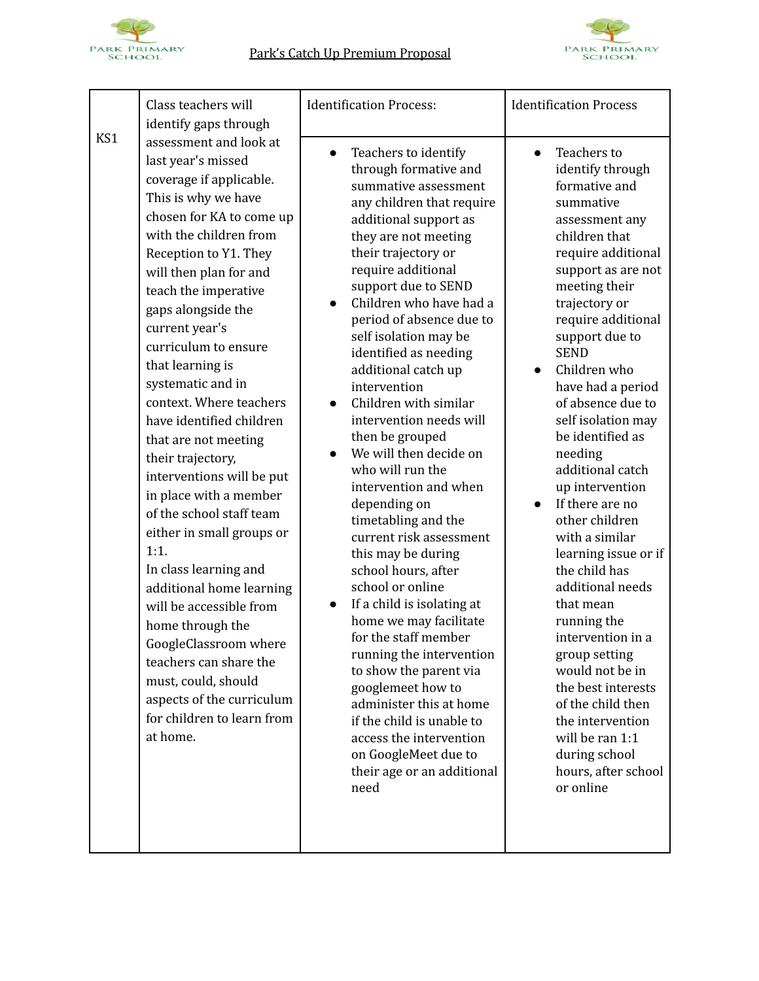



|     | Class teachers will<br>identify gaps through                                                                                                                                                                                                                                                                                                                                                                                                                                                                                                                                                                                                                                                                                                                                                                              | <b>Identification Process:</b>                                                                                                                                                                                                                                                                                                                                                                                                                                                                                                                                                                                                                                                                                                                                                                                                                                                                                                                                                    | <b>Identification Process</b>                                                                                                                                                                                                                                                                                                                                                                                                                                                                                                                                                                                                                                                                                                                                         |
|-----|---------------------------------------------------------------------------------------------------------------------------------------------------------------------------------------------------------------------------------------------------------------------------------------------------------------------------------------------------------------------------------------------------------------------------------------------------------------------------------------------------------------------------------------------------------------------------------------------------------------------------------------------------------------------------------------------------------------------------------------------------------------------------------------------------------------------------|-----------------------------------------------------------------------------------------------------------------------------------------------------------------------------------------------------------------------------------------------------------------------------------------------------------------------------------------------------------------------------------------------------------------------------------------------------------------------------------------------------------------------------------------------------------------------------------------------------------------------------------------------------------------------------------------------------------------------------------------------------------------------------------------------------------------------------------------------------------------------------------------------------------------------------------------------------------------------------------|-----------------------------------------------------------------------------------------------------------------------------------------------------------------------------------------------------------------------------------------------------------------------------------------------------------------------------------------------------------------------------------------------------------------------------------------------------------------------------------------------------------------------------------------------------------------------------------------------------------------------------------------------------------------------------------------------------------------------------------------------------------------------|
| KS1 | assessment and look at<br>last year's missed<br>coverage if applicable.<br>This is why we have<br>chosen for KA to come up<br>with the children from<br>Reception to Y1. They<br>will then plan for and<br>teach the imperative<br>gaps alongside the<br>current year's<br>curriculum to ensure<br>that learning is<br>systematic and in<br>context. Where teachers<br>have identified children<br>that are not meeting<br>their trajectory,<br>interventions will be put<br>in place with a member<br>of the school staff team<br>either in small groups or<br>1:1.<br>In class learning and<br>additional home learning<br>will be accessible from<br>home through the<br>GoogleClassroom where<br>teachers can share the<br>must, could, should<br>aspects of the curriculum<br>for children to learn from<br>at home. | Teachers to identify<br>$\bullet$<br>through formative and<br>summative assessment<br>any children that require<br>additional support as<br>they are not meeting<br>their trajectory or<br>require additional<br>support due to SEND<br>Children who have had a<br>period of absence due to<br>self isolation may be<br>identified as needing<br>additional catch up<br>intervention<br>Children with similar<br>intervention needs will<br>then be grouped<br>We will then decide on<br>who will run the<br>intervention and when<br>depending on<br>timetabling and the<br>current risk assessment<br>this may be during<br>school hours, after<br>school or online<br>If a child is isolating at<br>home we may facilitate<br>for the staff member<br>running the intervention<br>to show the parent via<br>googlemeet how to<br>administer this at home<br>if the child is unable to<br>access the intervention<br>on GoogleMeet due to<br>their age or an additional<br>need | Teachers to<br>$\bullet$<br>identify through<br>formative and<br>summative<br>assessment any<br>children that<br>require additional<br>support as are not<br>meeting their<br>trajectory or<br>require additional<br>support due to<br><b>SEND</b><br>Children who<br>have had a period<br>of absence due to<br>self isolation may<br>be identified as<br>needing<br>additional catch<br>up intervention<br>If there are no<br>$\bullet$<br>other children<br>with a similar<br>learning issue or if<br>the child has<br>additional needs<br>that mean<br>running the<br>intervention in a<br>group setting<br>would not be in<br>the best interests<br>of the child then<br>the intervention<br>will be ran 1:1<br>during school<br>hours, after school<br>or online |